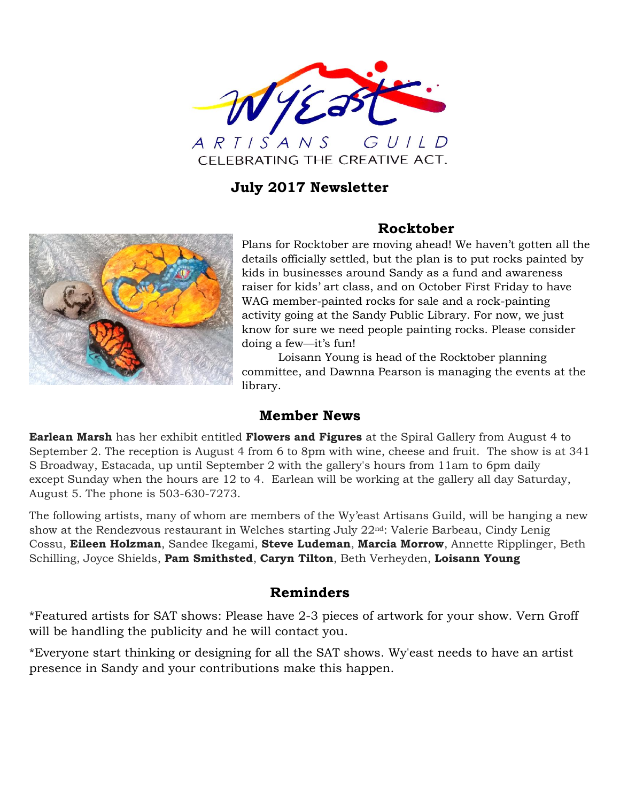

## **July 2017 Newsletter**



## **Rocktober**

Plans for Rocktober are moving ahead! We haven't gotten all the details officially settled, but the plan is to put rocks painted by kids in businesses around Sandy as a fund and awareness raiser for kids' art class, and on October First Friday to have WAG member-painted rocks for sale and a rock-painting activity going at the Sandy Public Library. For now, we just know for sure we need people painting rocks. Please consider doing a few—it's fun!

Loisann Young is head of the Rocktober planning committee, and Dawnna Pearson is managing the events at the library.

## **Member News**

**Earlean Marsh** has her exhibit entitled **Flowers and Figures** at the Spiral Gallery from August 4 to September 2. The reception is August 4 from 6 to 8pm with wine, cheese and fruit. The show is at 341 S Broadway, Estacada, up until September 2 with the gallery's hours from 11am to 6pm daily except Sunday when the hours are 12 to 4. Earlean will be working at the gallery all day Saturday, August 5. The phone is 503-630-7273.

The following artists, many of whom are members of the Wy'east Artisans Guild, will be hanging a new show at the Rendezvous restaurant in Welches starting July 22nd: Valerie Barbeau, Cindy Lenig Cossu, **Eileen Holzman**, Sandee Ikegami, **Steve Ludeman**, **Marcia Morrow**, Annette Ripplinger, Beth Schilling, Joyce Shields, **Pam Smithsted**, **Caryn Tilton**, Beth Verheyden, **Loisann Young**

## **Reminders**

\*Featured artists for SAT shows: Please have 2-3 pieces of artwork for your show. Vern Groff will be handling the publicity and he will contact you.

\*Everyone start thinking or designing for all the SAT shows. Wy'east needs to have an artist presence in Sandy and your contributions make this happen.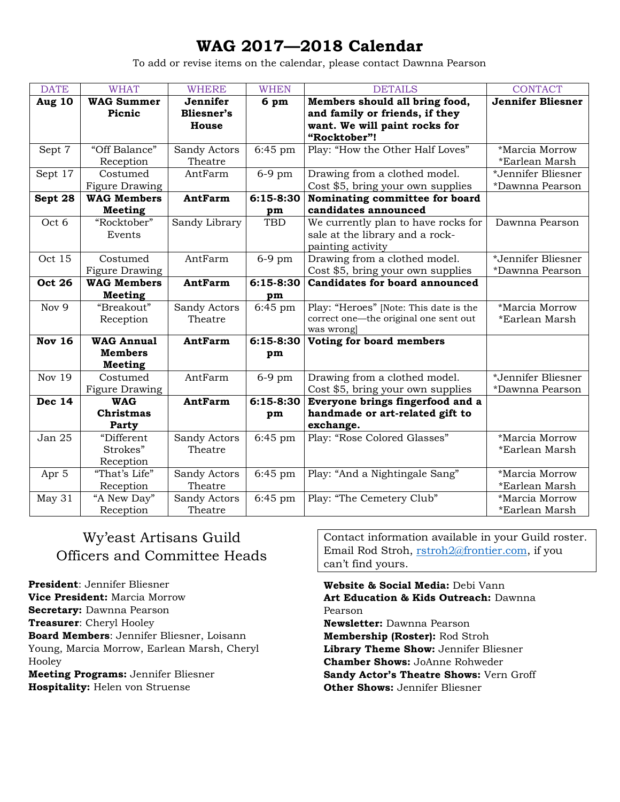# **WAG 2017—2018 Calendar**

To add or revise items on the calendar, please contact Dawnna Pearson

| <b>DATE</b>   | <b>WHAT</b>                    | <b>WHERE</b>                  | <b>WHEN</b>   | <b>DETAILS</b>                                                   | <b>CONTACT</b>           |
|---------------|--------------------------------|-------------------------------|---------------|------------------------------------------------------------------|--------------------------|
| Aug 10        | <b>WAG Summer</b><br>Picnic    | Jennifer<br><b>Bliesner's</b> | 6 pm          | Members should all bring food,<br>and family or friends, if they | <b>Jennifer Bliesner</b> |
|               |                                | House                         |               | want. We will paint rocks for                                    |                          |
|               |                                |                               |               | "Rocktober"!                                                     |                          |
| Sept 7        | "Off Balance"                  | Sandy Actors                  | $6:45$ pm     | Play: "How the Other Half Loves"                                 | *Marcia Morrow           |
|               | Reception                      | Theatre                       |               |                                                                  | *Earlean Marsh           |
| Sept 17       | Costumed                       | AntFarm                       | $6-9$ pm      | Drawing from a clothed model.                                    | *Jennifer Bliesner       |
|               | Figure Drawing                 |                               |               | Cost \$5, bring your own supplies                                | *Dawnna Pearson          |
| Sept 28       | <b>WAG Members</b>             | <b>AntFarm</b>                | $6:15-8:30$   | Nominating committee for board                                   |                          |
|               | <b>Meeting</b>                 |                               | pm            | candidates announced                                             |                          |
| Oct 6         | "Rocktober"                    | Sandy Library                 | <b>TBD</b>    | We currently plan to have rocks for                              | Dawnna Pearson           |
|               | Events                         |                               |               | sale at the library and a rock-<br>painting activity             |                          |
| Oct 15        | Costumed                       | AntFarm                       | $6-9$ pm      | Drawing from a clothed model.                                    | *Jennifer Bliesner       |
|               | Figure Drawing                 |                               |               | Cost \$5, bring your own supplies                                | *Dawnna Pearson          |
| <b>Oct 26</b> | <b>WAG Members</b>             | <b>AntFarm</b>                | $6:15-8:30$   | <b>Candidates for board announced</b>                            |                          |
|               | Meeting                        |                               | pm            |                                                                  |                          |
| Nov 9         | "Breakout"                     | Sandy Actors                  | $6:45$ pm     | Play: "Heroes" [Note: This date is the                           | *Marcia Morrow           |
|               | Reception                      | Theatre                       |               | correct one-the original one sent out                            | *Earlean Marsh           |
|               |                                |                               |               | was wrong                                                        |                          |
| <b>Nov 16</b> | <b>WAG Annual</b>              | <b>AntFarm</b>                | $6:15 - 8:30$ | Voting for board members                                         |                          |
|               | <b>Members</b>                 |                               | pm            |                                                                  |                          |
|               | <b>Meeting</b>                 |                               |               |                                                                  |                          |
| <b>Nov 19</b> | Costumed                       | AntFarm                       | $6-9$ pm      | Drawing from a clothed model.                                    | *Jennifer Bliesner       |
|               | <b>Figure Drawing</b>          |                               |               | Cost \$5, bring your own supplies                                | *Dawnna Pearson          |
| <b>Dec 14</b> | <b>WAG</b><br><b>Christmas</b> | <b>AntFarm</b>                | 6:15-8:30     | Everyone brings fingerfood and a                                 |                          |
|               | Party                          |                               | pm            | handmade or art-related gift to<br>exchange.                     |                          |
| Jan 25        | "Different                     | Sandy Actors                  | $6:45$ pm     | Play: "Rose Colored Glasses"                                     | *Marcia Morrow           |
|               | Strokes"                       | Theatre                       |               |                                                                  | *Earlean Marsh           |
|               | Reception                      |                               |               |                                                                  |                          |
| Apr 5         | "That's Life"                  | Sandy Actors                  | $6:45$ pm     | Play: "And a Nightingale Sang"                                   | *Marcia Morrow           |
|               | Reception                      | Theatre                       |               |                                                                  | *Earlean Marsh           |
| May 31        | "A New Day"                    | Sandy Actors                  | $6:45$ pm     | Play: "The Cemetery Club"                                        | *Marcia Morrow           |
|               | Reception                      | Theatre                       |               |                                                                  | *Earlean Marsh           |

## Wy'east Artisans Guild Officers and Committee Heads

**President**: Jennifer Bliesner **Vice President:** Marcia Morrow **Secretary:** Dawnna Pearson **Treasurer**: Cheryl Hooley **Board Members**: Jennifer Bliesner, Loisann Young, Marcia Morrow, Earlean Marsh, Cheryl Hooley **Meeting Programs:** Jennifer Bliesner

**Hospitality:** Helen von Struense

Contact information available in your Guild roster. Email Rod Stroh, [rstroh2@frontier.com,](mailto:rstroh2@frontier.com) if you can't find yours.

**Website & Social Media:** Debi Vann **Art Education & Kids Outreach:** Dawnna Pearson **Newsletter:** Dawnna Pearson **Membership (Roster):** Rod Stroh **Library Theme Show:** Jennifer Bliesner **Chamber Shows:** JoAnne Rohweder **Sandy Actor's Theatre Shows:** Vern Groff **Other Shows:** Jennifer Bliesner